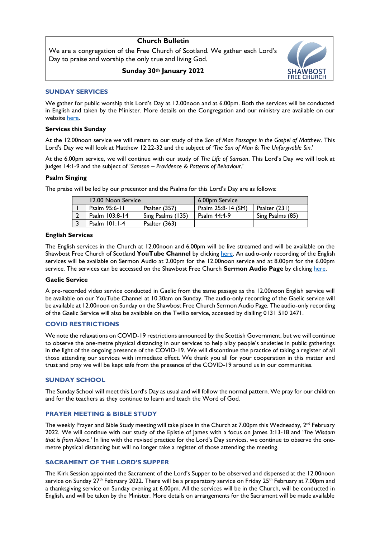# **Church Bulletin**

We are a congregation of the Free Church of Scotland. We gather each Lord's Day to praise and worship the only true and living God.

**Sunday 30th January 2022**



## **SUNDAY SERVICES**

We gather for public worship this Lord's Day at 12.00noon and at 6.00pm. Both the services will be conducted in English and taken by the Minister. More details on the Congregation and our ministry are available on our website [here.](https://shawbostfreechurch.org/) 

#### **Services this Sunday**

At the 12.00noon service we will return to our study of the *Son of Man Passages in the Gospel of Matthew*. This Lord's Day we will look at Matthew 12:22-32 and the subject of '*The Son of Man & The Unforgivable Sin*.'

At the 6.00pm service, we will continue with our study of *The Life of Samson*. This Lord's Day we will look at Judges 14:1-9 and the subject of '*Samson – Providence & Patterns of Behaviour.*'

## **Psalm Singing**

The praise will be led by our precentor and the Psalms for this Lord's Day are as follows:

| 12.00 Noon Service |                   | 6.00pm Service     |                  |
|--------------------|-------------------|--------------------|------------------|
| Psalm 95:6-11      | Psalter (357)     | Psalm 25:8-14 (SM) | Psalter (231)    |
| Psalm 103:8-14     | Sing Psalms (135) | Psalm $44:4-9$     | Sing Psalms (85) |
| Psalm $101:1-4$    | Psalter (363)     |                    |                  |
|                    |                   |                    |                  |

#### **English Services**

The English services in the Church at 12.00noon and 6.00pm will be live streamed and will be available on the Shawbost Free Church of Scotland **YouTube Channel** by clickin[g here.](https://www.youtube.com/channel/UC42KgHwA53YjnlpXyj8IU6g) An audio-only recording of the English services will be available on Sermon Audio at 2.00pm for the 12.00noon service and at 8.00pm for the 6.00pm service. The services can be accessed on the Shawbost Free Church **Sermon Audio Page** by clicking [here.](https://www.sermonaudio.com/source_detail.asp?sourceid=shawbostfreechurc) 

## **Gaelic Service**

A pre-recorded video service conducted in Gaelic from the same passage as the 12.00noon English service will be available on our YouTube Channel at 10.30am on Sunday. The audio-only recording of the Gaelic service will be available at 12.00noon on Sunday on the Shawbost Free Church Sermon Audio Page. The audio-only recording of the Gaelic Service will also be available on the Twilio service, accessed by dialling 0131 510 2471.

## **COVID RESTRICTIONS**

We note the relaxations on COVID-19 restrictions announced by the Scottish Government, but we will continue to observe the one-metre physical distancing in our services to help allay people's anxieties in public gatherings in the light of the ongoing presence of the COVID-19. We will discontinue the practice of taking a register of all those attending our services with immediate effect. We thank you all for your cooperation in this matter and trust and pray we will be kept safe from the presence of the COVID-19 around us in our communities.

## **SUNDAY SCHOOL**

The Sunday School will meet this Lord's Day as usual and will follow the normal pattern. We pray for our children and for the teachers as they continue to learn and teach the Word of God.

## **PRAYER MEETING & BIBLE STUDY**

The weekly Prayer and Bible Study meeting will take place in the Church at 7.00pm this Wednesday,  $2^{nd}$  February 2022. We will continue with our study of the Epistle of James with a focus on James 3:13-18 and '*The Wisdom that is from Above*.' In line with the revised practice for the Lord's Day services, we continue to observe the onemetre physical distancing but will no longer take a register of those attending the meeting.

## **SACRAMENT OF THE LORD'S SUPPER**

The Kirk Session appointed the Sacrament of the Lord's Supper to be observed and dispensed at the 12.00noon service on Sunday  $27<sup>th</sup>$  February 2022. There will be a preparatory service on Friday 25<sup>th</sup> February at 7.00pm and a thanksgiving service on Sunday evening at 6.00pm. All the services will be in the Church, will be conducted in English, and will be taken by the Minister. More details on arrangements for the Sacrament will be made available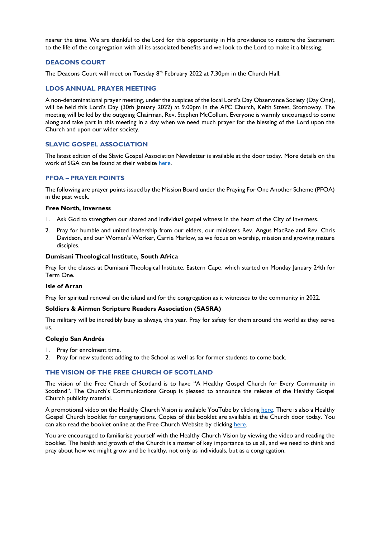nearer the time. We are thankful to the Lord for this opportunity in His providence to restore the Sacrament to the life of the congregation with all its associated benefits and we look to the Lord to make it a blessing.

## **DEACONS COURT**

The Deacons Court will meet on Tuesday  $8<sup>th</sup>$  February 2022 at 7.30pm in the Church Hall.

## **LDOS ANNUAL PRAYER MEETING**

A non-denominational prayer meeting, under the auspices of the local Lord's Day Observance Society (Day One), will be held this Lord's Day (30th January 2022) at 9.00pm in the APC Church, Keith Street, Stornoway. The meeting will be led by the outgoing Chairman, Rev. Stephen McCollum. Everyone is warmly encouraged to come along and take part in this meeting in a day when we need much prayer for the blessing of the Lord upon the Church and upon our wider society.

## **SLAVIC GOSPEL ASSOCIATION**

The latest edition of the Slavic Gospel Association Newsletter is available at the door today. More details on the work of SGA can be found at their website [here.](https://www.sga.org.uk/about-us/how-we-started/)

## **PFOA – PRAYER POINTS**

The following are prayer points issued by the Mission Board under the Praying For One Another Scheme (PFOA) in the past week.

#### **Free North, Inverness**

- 1. Ask God to strengthen our shared and individual gospel witness in the heart of the City of Inverness.
- 2. Pray for humble and united leadership from our elders, our ministers Rev. Angus MacRae and Rev. Chris Davidson, and our Women's Worker, Carrie Marlow, as we focus on worship, mission and growing mature disciples.

#### **Dumisani Theological Institute, South Africa**

Pray for the classes at Dumisani Theological Institute, Eastern Cape, which started on Monday January 24th for Term One.

#### **Isle of Arran**

Pray for spiritual renewal on the island and for the congregation as it witnesses to the community in 2022.

#### **Soldiers & Airmen Scripture Readers Association (SASRA)**

The military will be incredibly busy as always, this year. Pray for safety for them around the world as they serve us.

#### **Colegio San Andrés**

- 1. Pray for enrolment time.
- 2. Pray for new students adding to the School as well as for former students to come back.

#### **THE VISION OF THE FREE CHURCH OF SCOTLAND**

The vision of the Free Church of Scotland is to have "A Healthy Gospel Church for Every Community in Scotland". The Church's Communications Group is pleased to announce the release of the Healthy Gospel Church publicity material.

A promotional video on the Healthy Church Vision is available YouTube by clickin[g here.](https://www.youtube.com/watch?v=xgIKEiIcgNE) There is also a Healthy Gospel Church booklet for congregations. Copies of this booklet are available at the Church door today. You can also read the booklet online at the Free Church Website by clicking [here.](https://freechurch.org/wp-content/uploads/2022/01/Healthy-Gospel-Church-Booklet.pdf)

You are encouraged to familiarise yourself with the Healthy Church Vision by viewing the video and reading the booklet. The health and growth of the Church is a matter of key importance to us all, and we need to think and pray about how we might grow and be healthy, not only as individuals, but as a congregation.